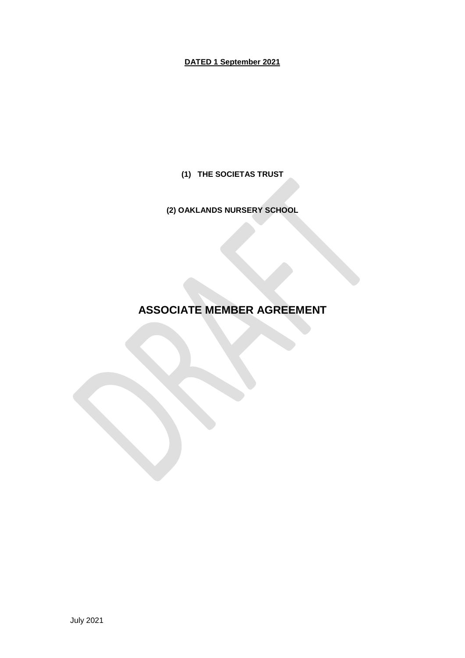# **DATED 1 September 2021**

**(1) THE SOCIETAS TRUST**

**(2) OAKLANDS NURSERY SCHOOL**

# **ASSOCIATE MEMBER AGREEMENT**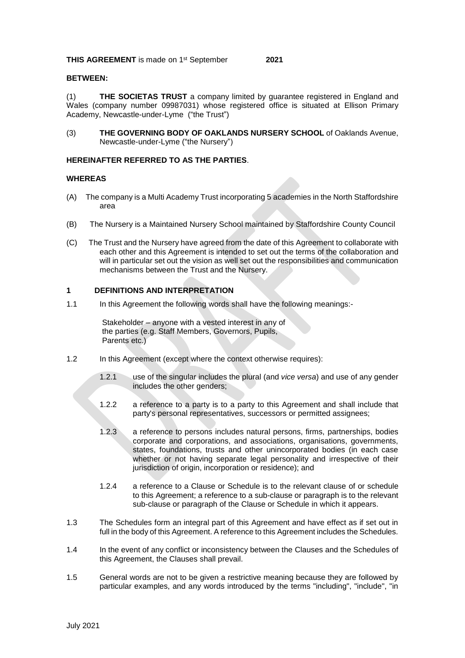# **BETWEEN:**

(1) **THE SOCIETAS TRUST** a company limited by guarantee registered in England and Wales (company number 09987031) whose registered office is situated at Ellison Primary Academy, Newcastle-under-Lyme ("the Trust")

(3) **THE GOVERNING BODY OF OAKLANDS NURSERY SCHOOL** of Oaklands Avenue, Newcastle-under-Lyme ("the Nursery")

#### **HEREINAFTER REFERRED TO AS THE PARTIES**.

#### **WHEREAS**

- (A) The company is a Multi Academy Trust incorporating 5 academies in the North Staffordshire area
- (B) The Nursery is a Maintained Nursery School maintained by Staffordshire County Council
- (C) The Trust and the Nursery have agreed from the date of this Agreement to collaborate with each other and this Agreement is intended to set out the terms of the collaboration and will in particular set out the vision as well set out the responsibilities and communication mechanisms between the Trust and the Nursery.

#### **1 DEFINITIONS AND INTERPRETATION**

1.1 In this Agreement the following words shall have the following meanings:-

Stakeholder – anyone with a vested interest in any of the parties (e.g. Staff Members, Governors, Pupils, Parents etc.)

- 1.2 In this Agreement (except where the context otherwise requires):
	- 1.2.1 use of the singular includes the plural (and *vice versa*) and use of any gender includes the other genders;
	- 1.2.2 a reference to a party is to a party to this Agreement and shall include that party's personal representatives, successors or permitted assignees;
	- 1.2.3 a reference to persons includes natural persons, firms, partnerships, bodies corporate and corporations, and associations, organisations, governments, states, foundations, trusts and other unincorporated bodies (in each case whether or not having separate legal personality and irrespective of their jurisdiction of origin, incorporation or residence); and
	- 1.2.4 a reference to a Clause or Schedule is to the relevant clause of or schedule to this Agreement; a reference to a sub-clause or paragraph is to the relevant sub-clause or paragraph of the Clause or Schedule in which it appears.
- 1.3 The Schedules form an integral part of this Agreement and have effect as if set out in full in the body of this Agreement. A reference to this Agreement includes the Schedules.
- 1.4 In the event of any conflict or inconsistency between the Clauses and the Schedules of this Agreement, the Clauses shall prevail.
- 1.5 General words are not to be given a restrictive meaning because they are followed by particular examples, and any words introduced by the terms "including", "include", "in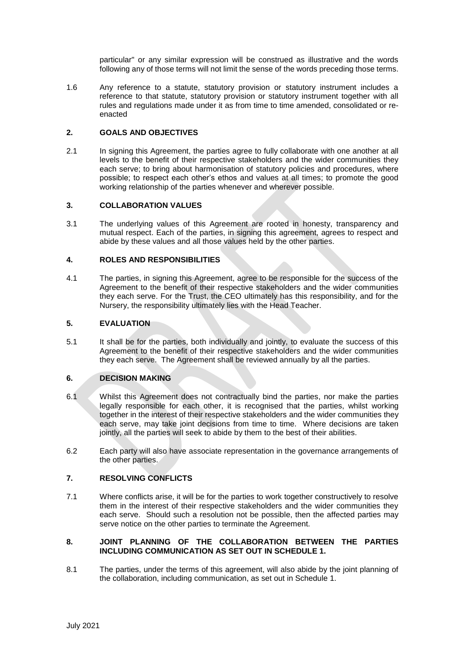particular" or any similar expression will be construed as illustrative and the words following any of those terms will not limit the sense of the words preceding those terms.

1.6 Any reference to a statute, statutory provision or statutory instrument includes a reference to that statute, statutory provision or statutory instrument together with all rules and regulations made under it as from time to time amended, consolidated or reenacted

#### **2. GOALS AND OBJECTIVES**

2.1 In signing this Agreement, the parties agree to fully collaborate with one another at all levels to the benefit of their respective stakeholders and the wider communities they each serve; to bring about harmonisation of statutory policies and procedures, where possible; to respect each other's ethos and values at all times; to promote the good working relationship of the parties whenever and wherever possible.

#### **3. COLLABORATION VALUES**

3.1 The underlying values of this Agreement are rooted in honesty, transparency and mutual respect. Each of the parties, in signing this agreement, agrees to respect and abide by these values and all those values held by the other parties.

#### **4. ROLES AND RESPONSIBILITIES**

4.1 The parties, in signing this Agreement, agree to be responsible for the success of the Agreement to the benefit of their respective stakeholders and the wider communities they each serve. For the Trust, the CEO ultimately has this responsibility, and for the Nursery, the responsibility ultimately lies with the Head Teacher.

#### **5. EVALUATION**

5.1 It shall be for the parties, both individually and jointly, to evaluate the success of this Agreement to the benefit of their respective stakeholders and the wider communities they each serve. The Agreement shall be reviewed annually by all the parties.

#### **6. DECISION MAKING**

- 6.1 Whilst this Agreement does not contractually bind the parties, nor make the parties legally responsible for each other, it is recognised that the parties, whilst working together in the interest of their respective stakeholders and the wider communities they each serve, may take joint decisions from time to time. Where decisions are taken jointly, all the parties will seek to abide by them to the best of their abilities.
- 6.2 Each party will also have associate representation in the governance arrangements of the other parties.

### **7. RESOLVING CONFLICTS**

7.1 Where conflicts arise, it will be for the parties to work together constructively to resolve them in the interest of their respective stakeholders and the wider communities they each serve. Should such a resolution not be possible, then the affected parties may serve notice on the other parties to terminate the Agreement.

#### **8. JOINT PLANNING OF THE COLLABORATION BETWEEN THE PARTIES INCLUDING COMMUNICATION AS SET OUT IN SCHEDULE 1.**

8.1 The parties, under the terms of this agreement, will also abide by the joint planning of the collaboration, including communication, as set out in Schedule 1.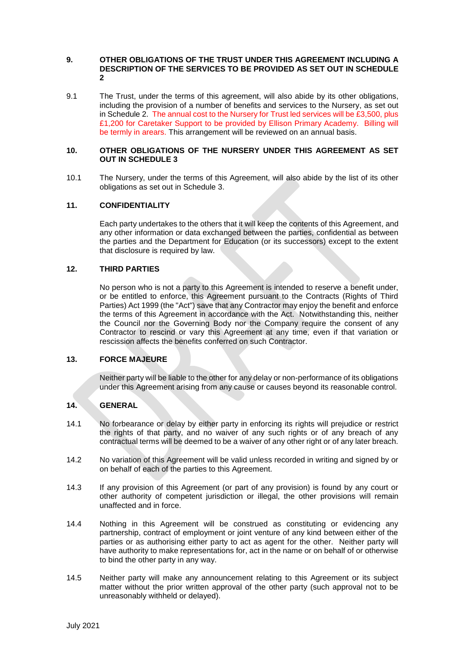#### **9. OTHER OBLIGATIONS OF THE TRUST UNDER THIS AGREEMENT INCLUDING A DESCRIPTION OF THE SERVICES TO BE PROVIDED AS SET OUT IN SCHEDULE 2**

9.1 The Trust, under the terms of this agreement, will also abide by its other obligations, including the provision of a number of benefits and services to the Nursery, as set out in Schedule 2. The annual cost to the Nursery for Trust led services will be £3,500, plus £1,200 for Caretaker Support to be provided by Ellison Primary Academy. Billing will be termly in arears. This arrangement will be reviewed on an annual basis.

#### **10. OTHER OBLIGATIONS OF THE NURSERY UNDER THIS AGREEMENT AS SET OUT IN SCHEDULE 3**

10.1 The Nursery, under the terms of this Agreement, will also abide by the list of its other obligations as set out in Schedule 3.

#### **11. CONFIDENTIALITY**

Each party undertakes to the others that it will keep the contents of this Agreement, and any other information or data exchanged between the parties, confidential as between the parties and the Department for Education (or its successors) except to the extent that disclosure is required by law.

#### **12. THIRD PARTIES**

No person who is not a party to this Agreement is intended to reserve a benefit under, or be entitled to enforce, this Agreement pursuant to the Contracts (Rights of Third Parties) Act 1999 (the "Act") save that any Contractor may enjoy the benefit and enforce the terms of this Agreement in accordance with the Act. Notwithstanding this, neither the Council nor the Governing Body nor the Company require the consent of any Contractor to rescind or vary this Agreement at any time, even if that variation or rescission affects the benefits conferred on such Contractor.

#### **13. FORCE MAJEURE**

Neither party will be liable to the other for any delay or non-performance of its obligations under this Agreement arising from any cause or causes beyond its reasonable control.

#### **14. GENERAL**

- 14.1 No forbearance or delay by either party in enforcing its rights will prejudice or restrict the rights of that party, and no waiver of any such rights or of any breach of any contractual terms will be deemed to be a waiver of any other right or of any later breach.
- 14.2 No variation of this Agreement will be valid unless recorded in writing and signed by or on behalf of each of the parties to this Agreement.
- 14.3 If any provision of this Agreement (or part of any provision) is found by any court or other authority of competent jurisdiction or illegal, the other provisions will remain unaffected and in force.
- 14.4 Nothing in this Agreement will be construed as constituting or evidencing any partnership, contract of employment or joint venture of any kind between either of the parties or as authorising either party to act as agent for the other. Neither party will have authority to make representations for, act in the name or on behalf of or otherwise to bind the other party in any way.
- 14.5 Neither party will make any announcement relating to this Agreement or its subject matter without the prior written approval of the other party (such approval not to be unreasonably withheld or delayed).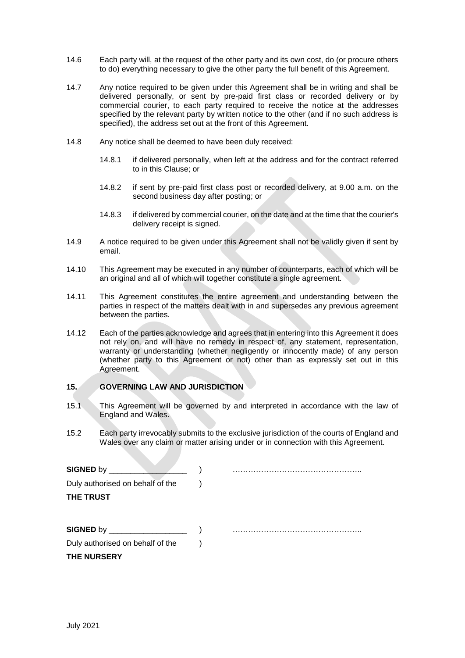- 14.6 Each party will, at the request of the other party and its own cost, do (or procure others to do) everything necessary to give the other party the full benefit of this Agreement.
- 14.7 Any notice required to be given under this Agreement shall be in writing and shall be delivered personally, or sent by pre-paid first class or recorded delivery or by commercial courier, to each party required to receive the notice at the addresses specified by the relevant party by written notice to the other (and if no such address is specified), the address set out at the front of this Agreement.
- 14.8 Any notice shall be deemed to have been duly received:
	- 14.8.1 if delivered personally, when left at the address and for the contract referred to in this Clause; or
	- 14.8.2 if sent by pre-paid first class post or recorded delivery, at 9.00 a.m. on the second business day after posting; or
	- 14.8.3 if delivered by commercial courier, on the date and at the time that the courier's delivery receipt is signed.
- 14.9 A notice required to be given under this Agreement shall not be validly given if sent by email.
- 14.10 This Agreement may be executed in any number of counterparts, each of which will be an original and all of which will together constitute a single agreement.
- 14.11 This Agreement constitutes the entire agreement and understanding between the parties in respect of the matters dealt with in and supersedes any previous agreement between the parties.
- 14.12 Each of the parties acknowledge and agrees that in entering into this Agreement it does not rely on, and will have no remedy in respect of, any statement, representation, warranty or understanding (whether negligently or innocently made) of any person (whether party to this Agreement or not) other than as expressly set out in this Agreement.

#### **15. GOVERNING LAW AND JURISDICTION**

- 15.1 This Agreement will be governed by and interpreted in accordance with the law of England and Wales.
- 15.2 Each party irrevocably submits to the exclusive jurisdiction of the courts of England and Wales over any claim or matter arising under or in connection with this Agreement.

| $S$ <b>IGNED</b> by $\_\_\_\_\_\_\_\_\$ |  |
|-----------------------------------------|--|
| Duly authorised on behalf of the        |  |
| <b>THE TRUST</b>                        |  |
|                                         |  |
|                                         |  |
| Duly authorised on behalf of the        |  |
| <b>THE NURSERY</b>                      |  |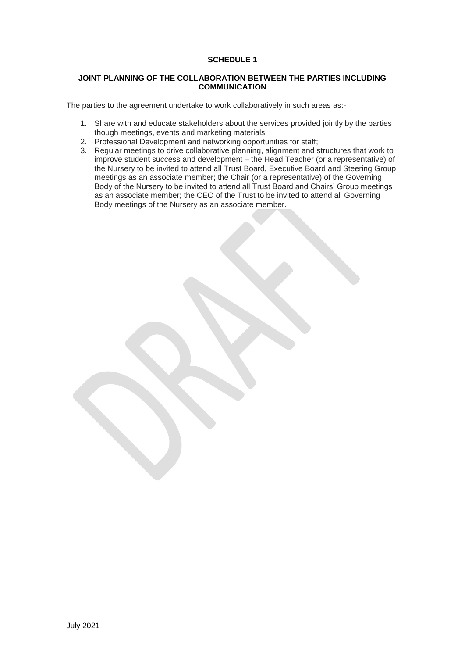# **SCHEDULE 1**

#### **JOINT PLANNING OF THE COLLABORATION BETWEEN THE PARTIES INCLUDING COMMUNICATION**

The parties to the agreement undertake to work collaboratively in such areas as:-

- 1. Share with and educate stakeholders about the services provided jointly by the parties though meetings, events and marketing materials;
- 2. Professional Development and networking opportunities for staff;
- 3. Regular meetings to drive collaborative planning, alignment and structures that work to improve student success and development – the Head Teacher (or a representative) of the Nursery to be invited to attend all Trust Board, Executive Board and Steering Group meetings as an associate member; the Chair (or a representative) of the Governing Body of the Nursery to be invited to attend all Trust Board and Chairs' Group meetings as an associate member; the CEO of the Trust to be invited to attend all Governing Body meetings of the Nursery as an associate member.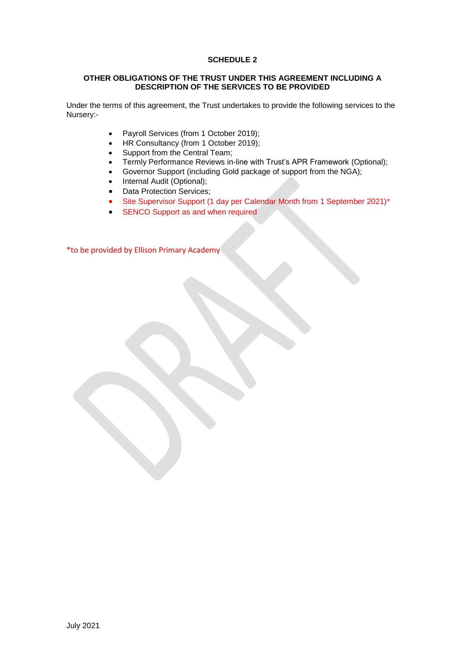# **SCHEDULE 2**

#### **OTHER OBLIGATIONS OF THE TRUST UNDER THIS AGREEMENT INCLUDING A DESCRIPTION OF THE SERVICES TO BE PROVIDED**

Under the terms of this agreement, the Trust undertakes to provide the following services to the Nursery:-

- Payroll Services (from 1 October 2019);
- HR Consultancy (from 1 October 2019);
- Support from the Central Team;
- Termly Performance Reviews in-line with Trust's APR Framework (Optional);
- Governor Support (including Gold package of support from the NGA);
- Internal Audit (Optional);
- Data Protection Services;
- Site Supervisor Support (1 day per Calendar Month from 1 September 2021)\*
- SENCO Support as and when required

\*to be provided by Ellison Primary Academy